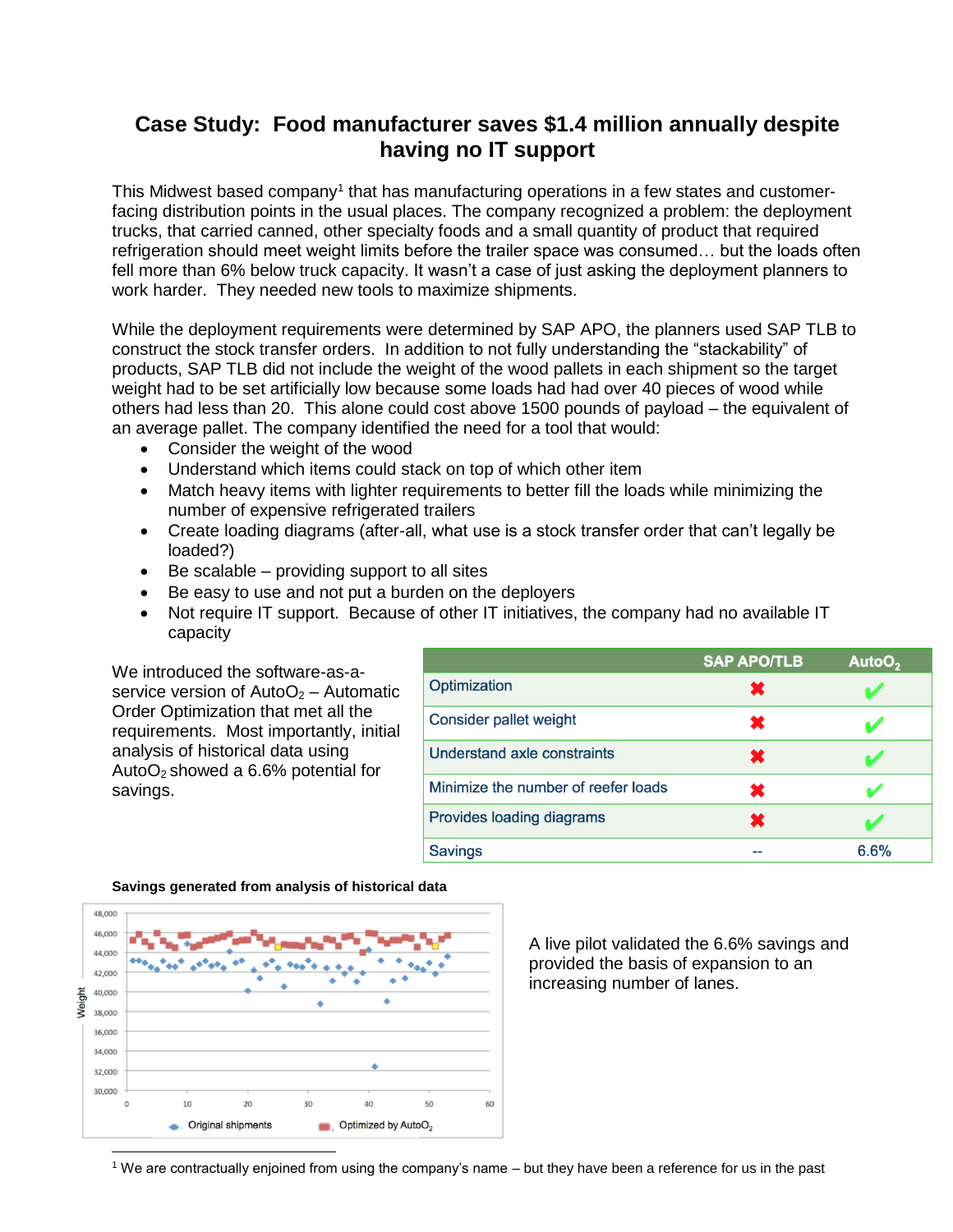## **Case Study: Food manufacturer saves \$1.4 million annually despite having no IT support**

This Midwest based company<sup>1</sup> that has manufacturing operations in a few states and customerfacing distribution points in the usual places. The company recognized a problem: the deployment trucks, that carried canned, other specialty foods and a small quantity of product that required refrigeration should meet weight limits before the trailer space was consumed… but the loads often fell more than 6% below truck capacity. It wasn't a case of just asking the deployment planners to work harder. They needed new tools to maximize shipments.

While the deployment requirements were determined by SAP APO, the planners used SAP TLB to construct the stock transfer orders. In addition to not fully understanding the "stackability" of products, SAP TLB did not include the weight of the wood pallets in each shipment so the target weight had to be set artificially low because some loads had had over 40 pieces of wood while others had less than 20. This alone could cost above 1500 pounds of payload – the equivalent of an average pallet. The company identified the need for a tool that would:

- Consider the weight of the wood
- Understand which items could stack on top of which other item
- Match heavy items with lighter requirements to better fill the loads while minimizing the number of expensive refrigerated trailers
- Create loading diagrams (after-all, what use is a stock transfer order that can't legally be loaded?)
- $\bullet$  Be scalable providing support to all sites
- Be easy to use and not put a burden on the deployers
- Not require IT support. Because of other IT initiatives, the company had no available IT capacity

We introduced the software-as-aservice version of  $AutoO<sub>2</sub> - Automatic$ Order Optimization that met all the requirements. Most importantly, initial analysis of historical data using AutoO<sub>2</sub> showed a  $6.6%$  potential for savings.

|                                     | <b>SAP APO/TLB</b> | AutoO <sub>2</sub> |
|-------------------------------------|--------------------|--------------------|
| Optimization                        | Ж                  |                    |
| Consider pallet weight              | x                  |                    |
| Understand axle constraints         | ×                  |                    |
| Minimize the number of reefer loads | x                  |                    |
| Provides loading diagrams           | ×                  |                    |
| <b>Savings</b>                      |                    | 6.6%               |



A live pilot validated the 6.6% savings and provided the basis of expansion to an increasing number of lanes.

<sup>1</sup> We are contractually enjoined from using the company's name – but they have been a reference for us in the past

## **Savings generated from analysis of historical data**